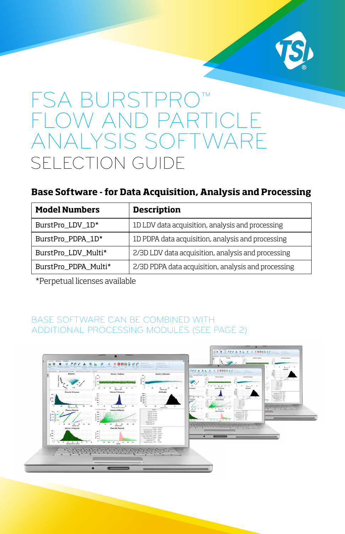

# FSA BURSTPRO FLOW AND PARTICLE ANALYSIS SOFTWARE SELECTION GUIDE

### **Base Software - for Data Acquisition, Analysis and Processing**

| <b>Model Numbers</b> | <b>Description</b>                                  |
|----------------------|-----------------------------------------------------|
| BurstPro_LDV_1D*     | 1D LDV data acquisition, analysis and processing    |
| BurstPro_PDPA_1D*    | 1D PDPA data acquisition, analysis and processing   |
| BurstPro_LDV_Multi*  | 2/3D LDV data acquisition, analysis and processing  |
| BurstPro_PDPA_Multi* | 2/3D PDPA data acquisition, analysis and processing |

\*Perpetual licenses available

#### BASE SOFTWARE CAN BE COMBINED WITH ADDITIONAL PROCESSING MODULES (SEE PAGE 2)